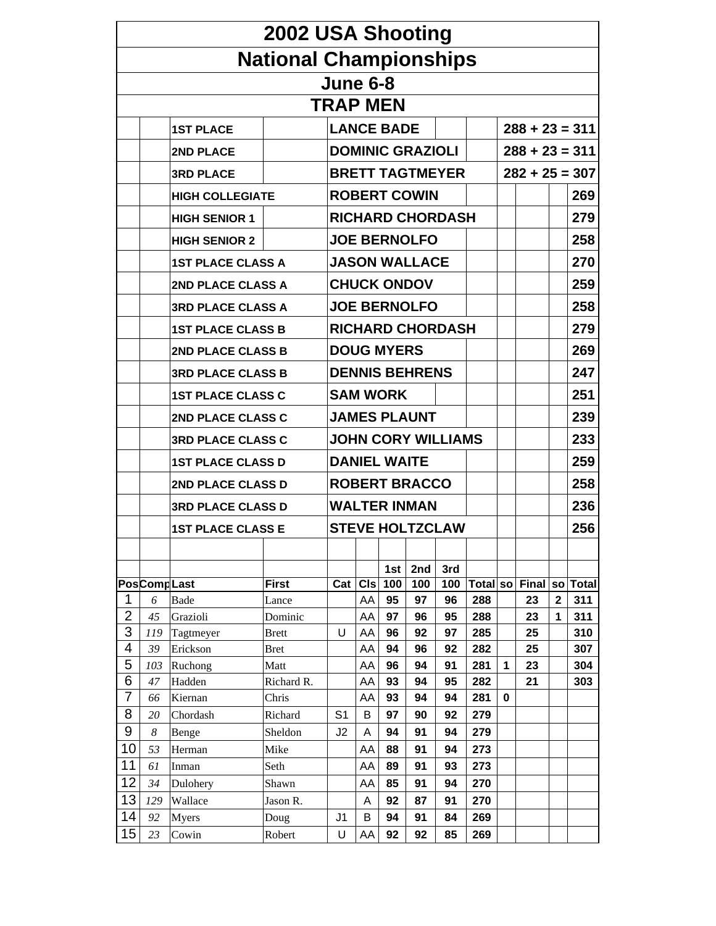|                |                             |                          | 2002 USA Shooting             |                           |            |                     |                         |                         |            |             |                  |                         |              |
|----------------|-----------------------------|--------------------------|-------------------------------|---------------------------|------------|---------------------|-------------------------|-------------------------|------------|-------------|------------------|-------------------------|--------------|
|                |                             |                          | <b>National Championships</b> |                           |            |                     |                         |                         |            |             |                  |                         |              |
|                |                             |                          |                               | <b>June 6-8</b>           |            |                     |                         |                         |            |             |                  |                         |              |
|                |                             |                          |                               | <b>TRAP MEN</b>           |            |                     |                         |                         |            |             |                  |                         |              |
|                |                             |                          |                               |                           |            | <b>LANCE BADE</b>   |                         |                         |            |             |                  |                         |              |
|                |                             | <b>1ST PLACE</b>         |                               |                           |            |                     |                         |                         |            |             | $288 + 23 = 311$ |                         |              |
|                |                             | <b>2ND PLACE</b>         |                               |                           |            |                     | <b>DOMINIC GRAZIOLI</b> |                         |            |             | $288 + 23 = 311$ |                         |              |
|                |                             | <b>3RD PLACE</b>         |                               |                           |            |                     |                         | <b>BRETT TAGTMEYER</b>  |            |             | $282 + 25 = 307$ |                         |              |
|                |                             | <b>HIGH COLLEGIATE</b>   |                               |                           |            |                     | <b>ROBERT COWIN</b>     |                         |            |             |                  |                         | 269          |
|                |                             | <b>HIGH SENIOR 1</b>     |                               |                           |            |                     |                         | <b>RICHARD CHORDASH</b> |            |             |                  |                         | 279          |
|                |                             | <b>HIGH SENIOR 2</b>     |                               |                           |            |                     | <b>JOE BERNOLFO</b>     |                         |            |             |                  |                         | 258          |
|                |                             | <b>1ST PLACE CLASS A</b> |                               |                           |            |                     | <b>JASON WALLACE</b>    |                         |            |             |                  |                         | 270          |
|                |                             | <b>2ND PLACE CLASS A</b> |                               |                           |            |                     | <b>CHUCK ONDOV</b>      |                         |            |             |                  |                         | 259          |
|                |                             | <b>3RD PLACE CLASS A</b> |                               |                           |            |                     | <b>JOE BERNOLFO</b>     |                         |            |             |                  |                         | 258          |
|                |                             | <b>1ST PLACE CLASS B</b> |                               |                           |            |                     | <b>RICHARD CHORDASH</b> |                         |            |             |                  | 279                     |              |
|                |                             | 2ND PLACE CLASS B        |                               |                           |            | <b>DOUG MYERS</b>   |                         |                         |            |             |                  | 269                     |              |
|                |                             | <b>3RD PLACE CLASS B</b> |                               |                           |            |                     | <b>DENNIS BEHRENS</b>   |                         |            |             |                  |                         | 247          |
|                |                             | <b>1ST PLACE CLASS C</b> |                               |                           |            | <b>SAM WORK</b>     |                         |                         |            |             |                  |                         | 251          |
|                |                             | <b>2ND PLACE CLASS C</b> |                               |                           |            |                     | <b>JAMES PLAUNT</b>     |                         |            |             |                  | 239                     |              |
|                |                             | <b>3RD PLACE CLASS C</b> |                               | <b>JOHN CORY WILLIAMS</b> |            |                     |                         |                         |            |             |                  |                         | 233          |
|                |                             | <b>1ST PLACE CLASS D</b> |                               |                           |            | <b>DANIEL WAITE</b> |                         |                         |            |             |                  | 259                     |              |
|                |                             | 2ND PLACE CLASS D        |                               |                           |            |                     | <b>ROBERT BRACCO</b>    |                         |            |             |                  |                         | 258          |
|                |                             | <b>3RD PLACE CLASS D</b> |                               |                           |            |                     | <b>WALTER INMAN</b>     |                         |            |             |                  |                         | 236          |
|                |                             | <b>1ST PLACE CLASS E</b> |                               |                           |            |                     |                         | <b>STEVE HOLTZCLAW</b>  |            |             |                  |                         | 256          |
|                |                             |                          |                               |                           |            |                     |                         |                         |            |             |                  |                         |              |
|                |                             |                          |                               |                           |            | 1st                 | 2nd                     | 3rd                     |            |             |                  |                         |              |
|                | <b>PosCompLast</b>          |                          | <b>First</b>                  | Cat                       | <b>CIs</b> | 100                 | 100                     | 100                     |            |             | Total so Final   | <b>SO</b>               | <b>Total</b> |
| 1              | 6                           | <b>Bade</b>              | Lance                         |                           | AA         | 95                  | 97                      | 96                      | 288        |             | 23               | $\overline{\mathbf{2}}$ | 311          |
| $\overline{2}$ | 45                          | Grazioli                 | Dominic                       |                           | AA         | 97                  | 96                      | 95                      | 288        |             | 23               | 1                       | 311          |
| 3              | 119                         | Tagtmeyer                | <b>Brett</b>                  | U                         | AA         | 96                  | 92                      | 97                      | 285        |             | 25               |                         | 310          |
| 4<br>5         | 39                          | Erickson                 | <b>Bret</b>                   |                           | AA         | 94                  | 96                      | 92                      | 282        | 1           | 25               |                         | 307          |
| 6              | 103                         | Ruchong                  | Matt                          |                           | AA         | 96                  | 94<br>94                | 91                      | 281        |             | 23               |                         | 304          |
| $\overline{7}$ | 47<br>66                    | Hadden<br>Kiernan        | Richard R.<br>Chris           |                           | AA<br>AA   | 93<br>93            | 94                      | 95<br>94                | 282<br>281 | $\mathbf 0$ | 21               |                         | 303          |
| 8              |                             | Chordash                 |                               | S <sub>1</sub>            | B          | 97                  | 90                      | 92                      | 279        |             |                  |                         |              |
| 9              | 20<br>$\boldsymbol{\delta}$ |                          | Richard<br>Sheldon            | J2                        | A          | 94                  | 91                      | 94                      |            |             |                  |                         |              |
| 10             |                             | Benge                    |                               |                           |            |                     |                         |                         | 279        |             |                  |                         |              |
| 11             | 53<br>61                    | Herman                   | Mike                          |                           | AA         | 88                  | 91<br>91                | 94                      | 273        |             |                  |                         |              |
| 12             |                             | Inman                    | Seth                          |                           | AA         | 89                  |                         | 93                      | 273        |             |                  |                         |              |
|                | 34                          | Dulohery                 | Shawn                         |                           | AA         | 85                  | 91                      | 94                      | 270        |             |                  |                         |              |
| 13             | 129                         | Wallace                  | Jason R.                      |                           | A          | 92                  | 87                      | 91                      | 270        |             |                  |                         |              |
| 14             | 92                          | Myers                    | Doug                          | J <sub>1</sub>            | B          | 94                  | 91                      | 84                      | 269        |             |                  |                         |              |
| 15             | 23                          | Cowin                    | Robert                        | U                         | AA         | 92                  | 92                      | 85                      | 269        |             |                  |                         |              |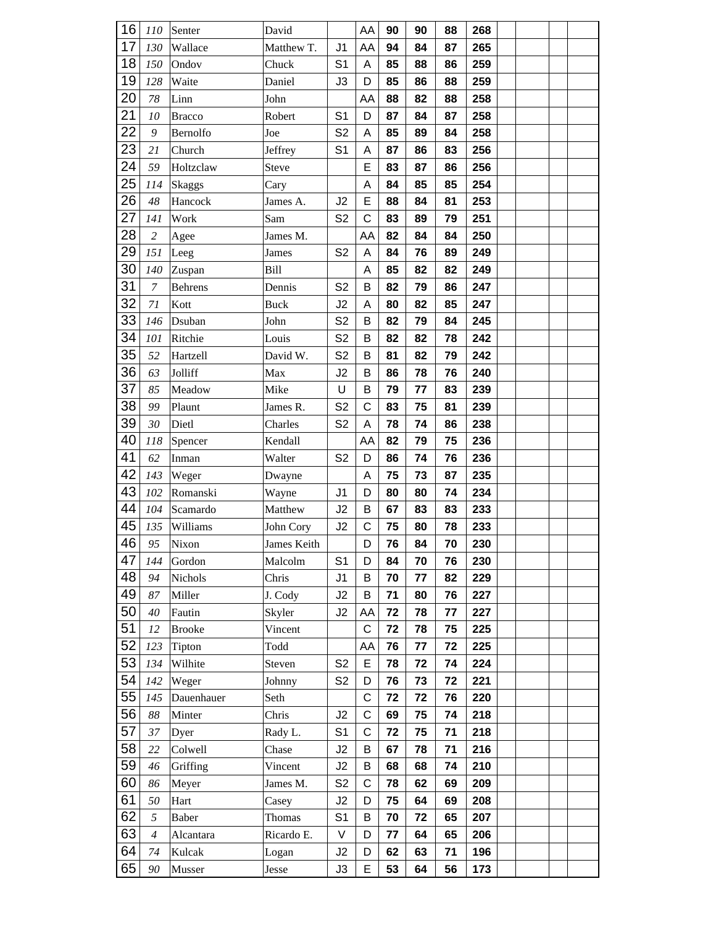| 16 | 110              | Senter         | David        |                | AA          | 90         | 90 | 88 | 268 |  |  |
|----|------------------|----------------|--------------|----------------|-------------|------------|----|----|-----|--|--|
| 17 | 130              | Wallace        | Matthew T.   | J1             | AA          | 94         | 84 | 87 | 265 |  |  |
| 18 | 150              | Ondov          | Chuck        | S <sub>1</sub> | Α           | 85         | 88 | 86 | 259 |  |  |
| 19 | 128              | Waite          | Daniel       | J3             | D           | 85         | 86 | 88 | 259 |  |  |
| 20 | 78               | Linn           | John         |                | AA          | 88         | 82 | 88 | 258 |  |  |
| 21 | 10               | <b>Bracco</b>  | Robert       | S <sub>1</sub> | D           | 87         | 84 | 87 | 258 |  |  |
| 22 | 9                | Bernolfo       | Joe          | S <sub>2</sub> | Α           | 85         | 89 | 84 | 258 |  |  |
| 23 | 21               | Church         | Jeffrey      | S <sub>1</sub> | Α           | 87         | 86 | 83 | 256 |  |  |
| 24 | 59               | Holtzclaw      | <b>Steve</b> |                | E           | 83         | 87 | 86 | 256 |  |  |
| 25 | 114              | <b>Skaggs</b>  | Cary         |                | Α           | 84         | 85 | 85 | 254 |  |  |
| 26 | 48               | Hancock        | James A.     | J2             | Е           | 88         | 84 | 81 | 253 |  |  |
| 27 | 141              | Work           | Sam          | S <sub>2</sub> | C           | 83         | 89 | 79 | 251 |  |  |
| 28 | $\overline{c}$   | Agee           | James M.     |                | AA          | 82         | 84 | 84 | 250 |  |  |
| 29 | 151              | Leeg           | James        | S <sub>2</sub> | Α           | 84         | 76 | 89 | 249 |  |  |
| 30 | 140              | Zuspan         | Bill         |                | Α           | 85         | 82 | 82 | 249 |  |  |
| 31 | $\boldsymbol{7}$ | <b>Behrens</b> | Dennis       | S <sub>2</sub> | B           | 82         | 79 | 86 | 247 |  |  |
| 32 | 71               | Kott           | <b>Buck</b>  | J2             | А           | 80         | 82 | 85 | 247 |  |  |
| 33 | 146              | Dsuban         | John         | S <sub>2</sub> | B           | 82         | 79 | 84 | 245 |  |  |
| 34 | 101              | Ritchie        | Louis        | S <sub>2</sub> | В           | 82         | 82 | 78 | 242 |  |  |
| 35 | 52               | Hartzell       | David W.     | S <sub>2</sub> | B           | 81         | 82 | 79 | 242 |  |  |
| 36 | 63               | Jolliff        | Max          | J2             | B           | 86         | 78 | 76 | 240 |  |  |
| 37 | 85               | Meadow         | Mike         | U              | B           | 79         | 77 | 83 | 239 |  |  |
| 38 | 99               | Plaunt         | James R.     | S <sub>2</sub> | C           | 83         | 75 | 81 | 239 |  |  |
| 39 | 30               | Dietl          | Charles      | S <sub>2</sub> | Α           | 78         | 74 | 86 | 238 |  |  |
| 40 | 118              | Spencer        | Kendall      |                | AA          | 82         | 79 | 75 | 236 |  |  |
| 41 | 62               | Inman          | Walter       | S <sub>2</sub> | D           | 86         | 74 | 76 | 236 |  |  |
| 42 | 143              | Weger          | Dwayne       |                | Α           | 75         | 73 | 87 | 235 |  |  |
| 43 | 102              | Romanski       | Wayne        | J <sub>1</sub> | D           | 80         | 80 | 74 | 234 |  |  |
| 44 | 104              | Scamardo       | Matthew      | J2             | B           | 67         | 83 | 83 | 233 |  |  |
| 45 | 135              | Williams       | John Cory    | J2             | C           | 75         | 80 | 78 | 233 |  |  |
| 46 | 95               | Nixon          | James Keith  |                | D           | 76         | 84 | 70 | 230 |  |  |
| 47 | 144              | Gordon         | Malcolm      | S <sub>1</sub> | D           | 84         | 70 | 76 | 230 |  |  |
| 48 | 94               | Nichols        | Chris        | J <sub>1</sub> | В           | 70         | 77 | 82 | 229 |  |  |
| 49 | 87               | Miller         | J. Cody      | J2             | B           | 71         | 80 | 76 | 227 |  |  |
| 50 | 40               | Fautin         | Skyler       | J2             | AA          | 72         | 78 | 77 | 227 |  |  |
| 51 | 12               | <b>Brooke</b>  | Vincent      |                | C           | 72         | 78 | 75 | 225 |  |  |
| 52 | 123              | Tipton         | Todd         |                | AA          | 76         | 77 | 72 | 225 |  |  |
| 53 | 134              | Wilhite        | Steven       | S <sub>2</sub> | E           | 78         | 72 | 74 | 224 |  |  |
| 54 | 142              | Weger          | Johnny       | S <sub>2</sub> | D           | ${\bf 76}$ | 73 | 72 | 221 |  |  |
| 55 | 145              | Dauenhauer     | Seth         |                | C           | 72         | 72 | 76 | 220 |  |  |
| 56 | 88               | Minter         | Chris        | J2             | $\mathsf C$ | 69         | 75 | 74 | 218 |  |  |
| 57 | 37               | Dyer           | Rady L.      | S <sub>1</sub> | C           | 72         | 75 | 71 | 218 |  |  |
| 58 | 22               | Colwell        | Chase        | J2             | B           | 67         | 78 | 71 | 216 |  |  |
| 59 | 46               | Griffing       | Vincent      | J2             | В           | 68         | 68 | 74 | 210 |  |  |
| 60 | 86               | Meyer          | James M.     | S <sub>2</sub> | C           | 78         | 62 | 69 | 209 |  |  |
| 61 | 50               | Hart           | Casey        | J2             | D           | 75         | 64 | 69 | 208 |  |  |
| 62 | 5                | Baber          | Thomas       | S <sub>1</sub> | В           | 70         | 72 | 65 | 207 |  |  |
| 63 | $\overline{4}$   | Alcantara      | Ricardo E.   | V              | D           | 77         | 64 | 65 | 206 |  |  |
| 64 | 74               | Kulcak         | Logan        | J2             | D           | 62         | 63 | 71 | 196 |  |  |
| 65 | 90               | Musser         | Jesse        | J3             | E           | 53         | 64 | 56 | 173 |  |  |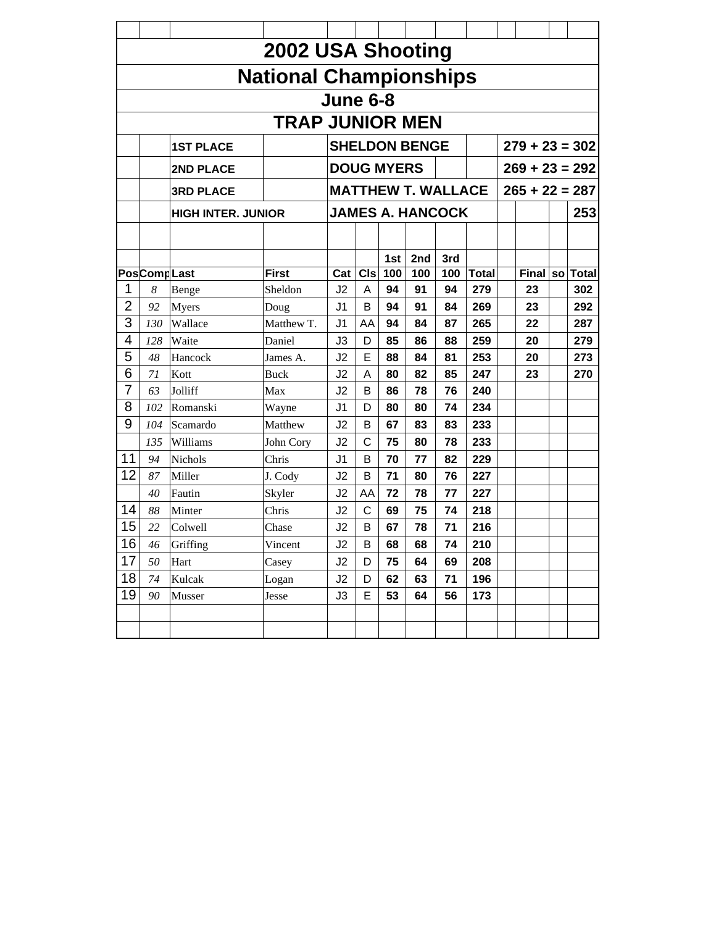|                |                    |                           | 2002 USA Shooting             |                |              |                   |                           |            |              |                  |                |
|----------------|--------------------|---------------------------|-------------------------------|----------------|--------------|-------------------|---------------------------|------------|--------------|------------------|----------------|
|                |                    |                           | <b>National Championships</b> |                |              |                   |                           |            |              |                  |                |
|                |                    |                           |                               | June 6-8       |              |                   |                           |            |              |                  |                |
|                |                    |                           | <b>TRAP JUNIOR MEN</b>        |                |              |                   |                           |            |              |                  |                |
|                |                    | <b>1ST PLACE</b>          |                               |                |              |                   | <b>SHELDON BENGE</b>      |            |              | $279 + 23 = 302$ |                |
|                |                    | 2ND PLACE                 |                               |                |              | <b>DOUG MYERS</b> |                           |            |              | $269 + 23 = 292$ |                |
|                |                    | <b>3RD PLACE</b>          |                               |                |              |                   | <b>MATTHEW T. WALLACE</b> |            |              | $265 + 22 = 287$ |                |
|                |                    | <b>HIGH INTER. JUNIOR</b> |                               |                |              |                   | <b>JAMES A. HANCOCK</b>   |            |              |                  | 253            |
|                |                    |                           |                               |                |              |                   |                           |            |              |                  |                |
|                | <b>PosCompLast</b> |                           | <b>First</b>                  | Cat            | CIs          | 1st<br>100        | 2nd<br>100                | 3rd<br>100 | <b>Total</b> |                  | Final so Total |
| 1              | 8                  | Benge                     | Sheldon                       | J2             | A            | 94                | 91                        | 94         | 279          | 23               | 302            |
| $\overline{2}$ | 92                 | Myers                     | Doug                          | J <sub>1</sub> | B            | 94                | 91                        | 84         | 269          | 23               | 292            |
| 3              | 130                | Wallace                   | Matthew T.                    | J1             | AA           | 94                | 84                        | 87         | 265          | 22               | 287            |
| 4              | 128                | Waite                     | Daniel                        | J3             | D            | 85                | 86                        | 88         | 259          | 20               | 279            |
| 5              | 48                 | Hancock                   | James A.                      | J <sub>2</sub> | Е            | 88                | 84                        | 81         | 253          | 20               | 273            |
| 6              | 71                 | Kott                      | Buck                          | J2             | A            | 80                | 82                        | 85         | 247          | 23               | 270            |
| $\overline{7}$ | 63                 | Jolliff                   | Max                           | J <sub>2</sub> | B            | 86                | 78                        | 76         | 240          |                  |                |
| 8              | 102                | Romanski                  | Wayne                         | J1             | D            | 80                | 80                        | 74         | 234          |                  |                |
| 9              | 104                | Scamardo                  | Matthew                       | J2             | B            | 67                | 83                        | 83         | 233          |                  |                |
|                | 135                | Williams                  | John Cory                     | J <sub>2</sub> | $\mathsf{C}$ | 75                | 80                        | 78         | 233          |                  |                |
| 11             | 94                 | <b>Nichols</b>            | Chris                         | J1             | B            | 70                | 77                        | 82         | 229          |                  |                |
| 12             | 87                 | Miller                    | J. Cody                       | J2             | B            | 71                | 80                        | 76         | 227          |                  |                |
|                | 40                 | Fautin                    | Skyler                        | J2             | AA           | 72                | 78                        | 77         | 227          |                  |                |
| 14             | 88                 | Minter                    | Chris                         | J2             | C            | 69                | 75                        | 74         | 218          |                  |                |
| 15             | 22                 | Colwell                   | Chase                         | J <sub>2</sub> | B            | 67                | 78                        | 71         | 216          |                  |                |
| 16             | 46                 | Griffing                  | Vincent                       | J2             | B            | 68                | 68                        | 74         | <b>210</b>   |                  |                |
| 17             | 50                 | Hart                      | Casey                         | J2             | D            | 75                | 64                        | 69         | 208          |                  |                |
| 18             | 74                 | Kulcak                    | Logan                         | J2             | D            | 62                | 63                        | 71         | 196          |                  |                |
| 19             | 90                 | Musser                    | Jesse                         | J3             | E            | 53                | 64                        | 56         | 173          |                  |                |
|                |                    |                           |                               |                |              |                   |                           |            |              |                  |                |
|                |                    |                           |                               |                |              |                   |                           |            |              |                  |                |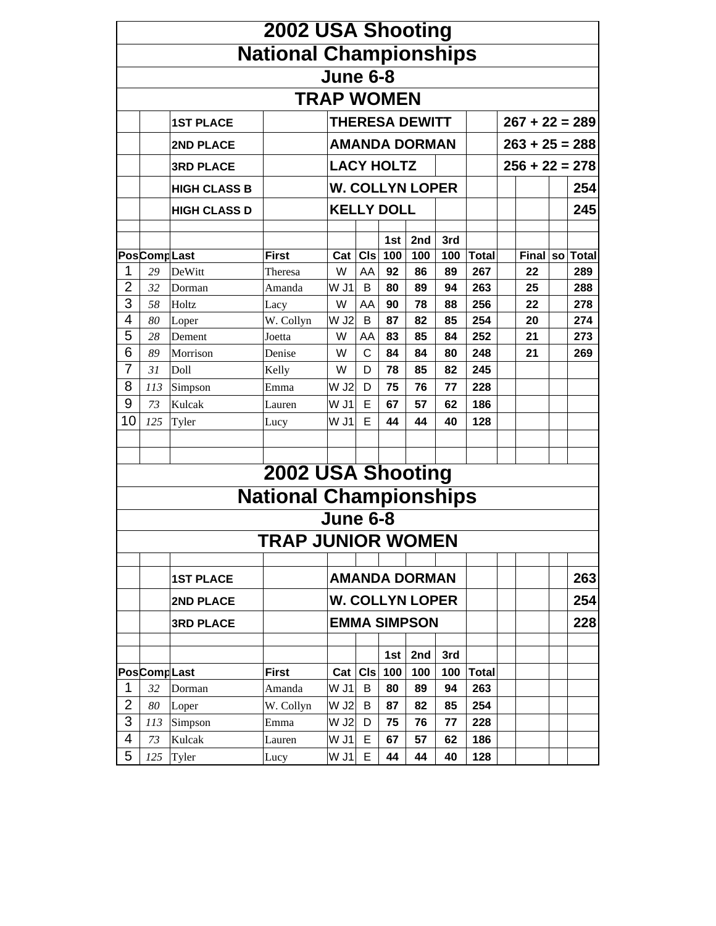|                |              |                     | 2002 USA Shooting             |                   |            |                        |                        |            |              |                  |           |              |
|----------------|--------------|---------------------|-------------------------------|-------------------|------------|------------------------|------------------------|------------|--------------|------------------|-----------|--------------|
|                |              |                     | <b>National Championships</b> |                   |            |                        |                        |            |              |                  |           |              |
|                |              |                     |                               | <b>June 6-8</b>   |            |                        |                        |            |              |                  |           |              |
|                |              |                     |                               | <b>TRAP WOMEN</b> |            |                        |                        |            |              |                  |           |              |
|                |              | <b>1ST PLACE</b>    |                               |                   |            |                        | <b>THERESA DEWITT</b>  |            |              | $267 + 22 = 289$ |           |              |
|                |              | 2ND PLACE           |                               |                   |            |                        | <b>AMANDA DORMAN</b>   |            |              | $263 + 25 = 288$ |           |              |
|                |              | <b>3RD PLACE</b>    |                               |                   |            | <b>LACY HOLTZ</b>      |                        |            |              | $256 + 22 = 278$ |           |              |
|                |              | <b>HIGH CLASS B</b> |                               |                   |            |                        | <b>W. COLLYN LOPER</b> |            |              |                  |           | 254          |
|                |              |                     |                               |                   |            |                        |                        |            |              |                  |           |              |
|                |              | <b>HIGH CLASS D</b> |                               |                   |            | <b>KELLY DOLL</b>      |                        |            |              |                  |           | 245          |
|                |              |                     |                               |                   |            | 1st                    | 2 <sub>nd</sub>        | 3rd        |              |                  |           |              |
|                | PosComp Last |                     | <b>First</b>                  | Cat               | <b>CIs</b> | 100                    | 100                    | 100        | <b>Total</b> | <b>Final</b>     | <b>SO</b> | <b>Total</b> |
| 1              | 29           | DeWitt              | Theresa                       | W                 | AA         | 92                     | 86                     | 89         | 267          | 22               |           | 289          |
| 2              | 32           | Dorman              | Amanda                        | W J1              | B          | 80                     | 89                     | 94         | 263          | 25               |           | 288          |
| 3              | 58           | Holtz               | Lacy                          | W                 | AA         | 90                     | 78                     | 88         | 256          | 22               |           | 278          |
| 4              | 80           | Loper               | W. Collyn                     | W J2              | B          | 87                     | 82                     | 85         | 254          | 20               |           | 274          |
| 5              | 28           | Dement              | Joetta                        | W                 | AA         | 83                     | 85                     | 84         | 252          | 21               |           | 273          |
| 6              | 89           | Morrison            | Denise                        | W                 | С          | 84                     | 84                     | 80         | 248          | 21               |           | 269          |
| 7              | 31           | Doll                | Kelly                         | W                 | D          | 78                     | 85                     | 82         | 245          |                  |           |              |
| 8              | 113          | Simpson             | Emma                          | W J2              | D          | 75                     | 76                     | 77         | 228          |                  |           |              |
| 9              | 73           | Kulcak              | Lauren                        | W J1              | Е          | 67                     | 57                     | 62         | 186          |                  |           |              |
| 10             | 125          | Tyler               | Lucy                          | W J1              | Е          | 44                     | 44                     | 40         | 128          |                  |           |              |
|                |              |                     |                               |                   |            |                        |                        |            |              |                  |           |              |
|                |              |                     |                               |                   |            |                        |                        |            |              |                  |           |              |
|                |              |                     | 2002 USA Shooting             |                   |            |                        |                        |            |              |                  |           |              |
|                |              |                     | <b>National Championships</b> |                   |            |                        |                        |            |              |                  |           |              |
|                |              |                     |                               | <b>June 6-8</b>   |            |                        |                        |            |              |                  |           |              |
|                |              |                     | TRAP JUNIOR WOMEN             |                   |            |                        |                        |            |              |                  |           |              |
|                |              |                     |                               |                   |            |                        |                        |            |              |                  |           |              |
|                |              | <b>1ST PLACE</b>    |                               |                   |            |                        | <b>AMANDA DORMAN</b>   |            |              |                  |           | 263          |
|                |              | 2ND PLACE           |                               |                   |            |                        | <b>W. COLLYN LOPER</b> |            |              |                  |           | 254          |
|                |              | <b>3RD PLACE</b>    |                               |                   |            |                        | <b>EMMA SIMPSON</b>    |            |              |                  |           | 228          |
|                |              |                     |                               |                   |            |                        |                        |            |              |                  |           |              |
|                | PosComp Last |                     | <b>First</b>                  |                   |            | 1st<br>$Cat$ $Cls$ 100 | 2nd<br>100             | 3rd<br>100 | Total        |                  |           |              |
| 1              | 32           | Dorman              | Amanda                        | W J1              | В          | 80                     | 89                     | 94         | 263          |                  |           |              |
| $\overline{2}$ | 80           |                     |                               | W J2              | B          | 87                     | 82                     | 85         | 254          |                  |           |              |
| 3              |              | Loper               | W. Collyn                     | W J2              | D          | 75                     | 76                     | 77         | 228          |                  |           |              |
| 4              | 113          | Simpson             | Emma                          | WJ1               | E          |                        |                        |            |              |                  |           |              |
| 5              | 73           | Kulcak              | Lauren                        |                   |            | 67                     | 57                     | 62         | 186          |                  |           |              |
|                | 125          | Tyler               | Lucy                          | W J1              | E          | 44                     | 44                     | 40         | 128          |                  |           |              |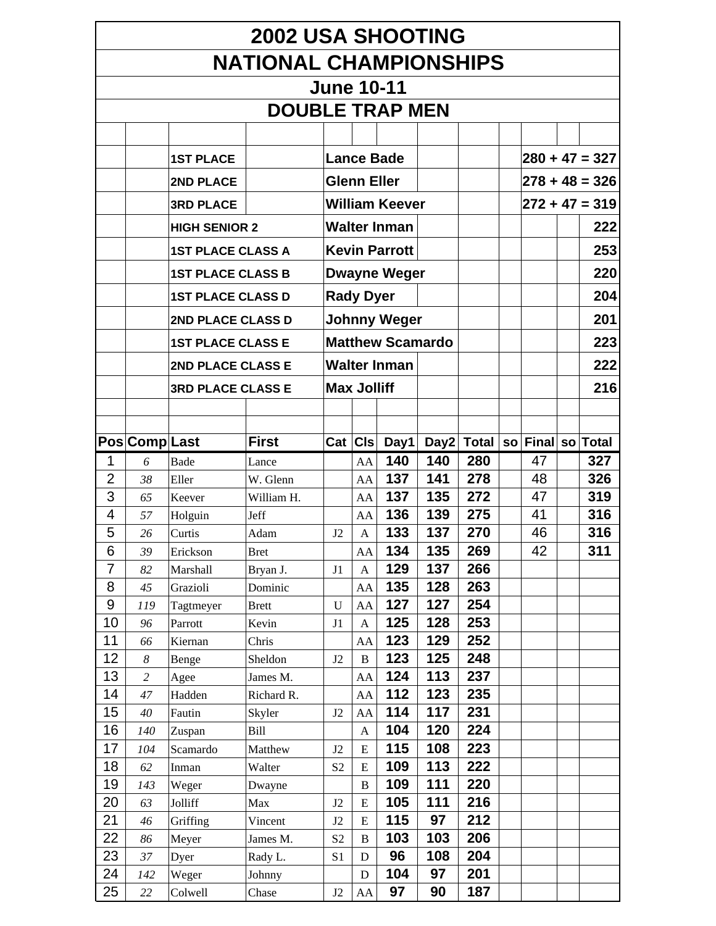|                  | <b>2002 USA SHOOTING</b>      |                          |                         |                      |                           |                         |            |              |  |                   |  |                  |  |
|------------------|-------------------------------|--------------------------|-------------------------|----------------------|---------------------------|-------------------------|------------|--------------|--|-------------------|--|------------------|--|
|                  | <b>NATIONAL CHAMPIONSHIPS</b> |                          |                         |                      |                           |                         |            |              |  |                   |  |                  |  |
|                  |                               |                          |                         | <b>June 10-11</b>    |                           |                         |            |              |  |                   |  |                  |  |
|                  |                               |                          | <b>DOUBLE TRAP MEN</b>  |                      |                           |                         |            |              |  |                   |  |                  |  |
|                  |                               |                          |                         |                      |                           |                         |            |              |  |                   |  |                  |  |
|                  |                               |                          |                         |                      |                           |                         |            |              |  |                   |  |                  |  |
|                  |                               | <b>1ST PLACE</b>         |                         |                      |                           | <b>Lance Bade</b>       |            |              |  |                   |  | $280 + 47 = 327$ |  |
|                  |                               | 2ND PLACE                |                         |                      | <b>Glenn Eller</b>        |                         |            |              |  |                   |  | $278 + 48 = 326$ |  |
|                  |                               | <b>3RD PLACE</b>         |                         |                      |                           | <b>William Keever</b>   |            |              |  |                   |  | $272 + 47 = 319$ |  |
|                  |                               | <b>HIGH SENIOR 2</b>     |                         |                      |                           | <b>Walter Inman</b>     |            |              |  |                   |  | 222              |  |
|                  |                               | <b>1ST PLACE CLASS A</b> |                         |                      |                           | <b>Kevin Parrott</b>    |            |              |  |                   |  | 253              |  |
|                  |                               | <b>1ST PLACE CLASS B</b> |                         |                      |                           | <b>Dwayne Weger</b>     |            |              |  |                   |  | 220              |  |
|                  |                               |                          |                         |                      |                           |                         |            |              |  |                   |  |                  |  |
|                  |                               | <b>1ST PLACE CLASS D</b> |                         |                      | <b>Rady Dyer</b>          |                         |            |              |  |                   |  | 204              |  |
|                  |                               | 2ND PLACE CLASS D        |                         |                      |                           | <b>Johnny Weger</b>     |            |              |  |                   |  | 201              |  |
|                  |                               | <b>1ST PLACE CLASS E</b> |                         |                      |                           | <b>Matthew Scamardo</b> |            |              |  |                   |  | 223              |  |
|                  |                               | 2ND PLACE CLASS E        |                         |                      |                           | <b>Walter Inman</b>     |            |              |  |                   |  | 222              |  |
|                  |                               | <b>3RD PLACE CLASS E</b> |                         |                      | <b>Max Jolliff</b>        |                         |            |              |  |                   |  | 216              |  |
|                  |                               |                          |                         |                      |                           |                         |            |              |  |                   |  |                  |  |
|                  |                               |                          |                         |                      |                           |                         |            |              |  |                   |  |                  |  |
|                  | Pos Comp Last                 |                          | <b>First</b>            |                      | Cat   CIs                 | Day1 $ $                | Day2       | <b>Total</b> |  | so Final so Total |  |                  |  |
| 1                | 6                             | <b>Bade</b>              | Lance                   |                      | AA                        | 140                     | 140        | 280          |  | 47                |  | 327              |  |
| $\overline{2}$   | 38                            | Eller                    | W. Glenn                |                      | AA                        | 137                     | 141        | 278          |  | 48                |  | 326              |  |
| 3                | 65                            | Keever                   | William H.              |                      | AA                        | 137                     | 135        | 272          |  | 47                |  | 319              |  |
| 4                | 57                            | Holguin                  | Jeff                    |                      | AA                        | 136                     | 139<br>137 | 275          |  | 41                |  | 316              |  |
| 5<br>6           | 26                            | Curtis                   | Adam                    | J2                   | $\mathbf{A}$              | 133                     |            | 270<br>269   |  | 46                |  | 316              |  |
| $\overline{7}$   | 39<br>82                      | Erickson<br>Marshall     | <b>Bret</b><br>Bryan J. | J1                   | AA<br>$\mathbf{A}$        | 134<br>129              | 135<br>137 | 266          |  | 42                |  | 311              |  |
| 8                | 45                            | Grazioli                 | Dominic                 |                      | AA                        | 135                     | 128        | 263          |  |                   |  |                  |  |
| $\boldsymbol{9}$ | 119                           | Tagtmeyer                | <b>Brett</b>            | $\mathbf U$          | AA                        | 127                     | 127        | 254          |  |                   |  |                  |  |
| 10               | 96                            | Parrott                  | Kevin                   | J1                   | $\boldsymbol{\mathsf{A}}$ | 125                     | 128        | 253          |  |                   |  |                  |  |
| 11               | 66                            | Kiernan                  | Chris                   |                      | AA                        | 123                     | 129        | 252          |  |                   |  |                  |  |
| 12               | $\boldsymbol{\delta}$         | Benge                    | Sheldon                 | J2                   | $\, {\bf B}$              | 123                     | 125        | 248          |  |                   |  |                  |  |
| 13               | $\overline{c}$                | Agee                     | James M.                |                      | AA                        | 124                     | 113        | 237          |  |                   |  |                  |  |
| 14               | 47                            | Hadden                   | Richard R.              |                      | AA                        | 112                     | 123        | 235          |  |                   |  |                  |  |
| 15               | 40                            | Fautin                   | Skyler                  | J2                   | AA                        | 114                     | 117        | 231          |  |                   |  |                  |  |
| 16               | 140                           | Zuspan                   | Bill                    |                      | A                         | 104                     | 120        | 224          |  |                   |  |                  |  |
| 17               | 104                           | Scamardo                 | Matthew                 | J2                   | E                         | 115                     | 108        | 223          |  |                   |  |                  |  |
| 18               | 62                            | Inman                    | Walter                  | S <sub>2</sub>       | ${\bf E}$                 | 109                     | 113        | 222          |  |                   |  |                  |  |
| 19               | 143                           | Weger                    | Dwayne                  |                      | B                         | 109                     | 111        | 220          |  |                   |  |                  |  |
| 20<br>21         | 63                            | Jolliff                  | Max                     | J2                   | E                         | 105<br>115              | 111<br>97  | 216<br>212   |  |                   |  |                  |  |
| 22               | 46<br>86                      | Griffing<br>Meyer        | Vincent<br>James M.     | J2<br>S <sub>2</sub> | ${\bf E}$<br>$\bf{B}$     | 103                     | 103        | 206          |  |                   |  |                  |  |
| 23               | 37                            | Dyer                     | Rady L.                 | S <sub>1</sub>       | $\mathbf D$               | 96                      | 108        | 204          |  |                   |  |                  |  |
| 24               | 142                           | Weger                    | Johnny                  |                      | $\mathbf D$               | 104                     | 97         | 201          |  |                   |  |                  |  |
| 25               | 22                            | Colwell                  | Chase                   | J2                   | ${\rm AA}$                | 97                      | 90         | 187          |  |                   |  |                  |  |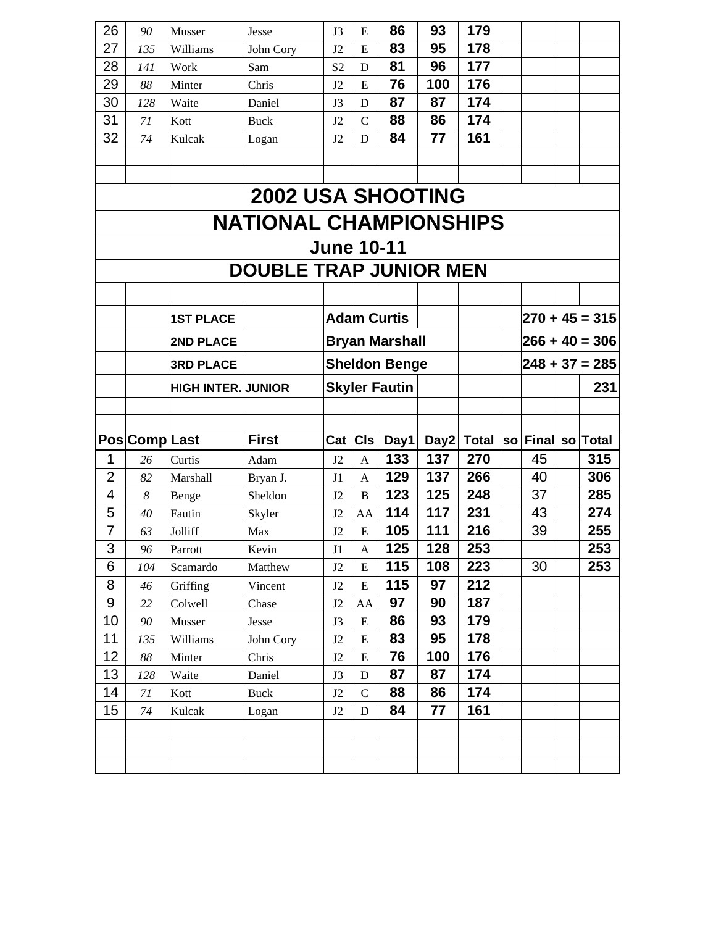| 26 | 90             | Musser                    | <b>Jesse</b>                  | J3                | E             | 86                    | 93   | 179          |           |                |                  |
|----|----------------|---------------------------|-------------------------------|-------------------|---------------|-----------------------|------|--------------|-----------|----------------|------------------|
| 27 | 135            | Williams                  | John Cory                     | J2                | E             | 83                    | 95   | 178          |           |                |                  |
| 28 | 141            | Work                      | Sam                           | S <sub>2</sub>    | $\mathbf D$   | 81                    | 96   | 177          |           |                |                  |
| 29 | 88             | Minter                    | Chris                         | J2                | E             | 76                    | 100  | 176          |           |                |                  |
| 30 | 128            | Waite                     | Daniel                        | J3                | $\mathbf D$   | 87                    | 87   | 174          |           |                |                  |
| 31 | 71             | Kott                      | Buck                          | J <sub>2</sub>    | $\mathbf C$   | 88                    | 86   | 174          |           |                |                  |
| 32 | 74             | Kulcak                    | Logan                         | J2                | $\mathbf D$   | 84                    | 77   | 161          |           |                |                  |
|    |                |                           |                               |                   |               |                       |      |              |           |                |                  |
|    |                |                           |                               |                   |               |                       |      |              |           |                |                  |
|    |                |                           | <b>2002 USA SHOOTING</b>      |                   |               |                       |      |              |           |                |                  |
|    |                |                           | <b>NATIONAL CHAMPIONSHIPS</b> |                   |               |                       |      |              |           |                |                  |
|    |                |                           |                               | <b>June 10-11</b> |               |                       |      |              |           |                |                  |
|    |                |                           | <b>DOUBLE TRAP JUNIOR MEN</b> |                   |               |                       |      |              |           |                |                  |
|    |                |                           |                               |                   |               |                       |      |              |           |                |                  |
|    |                | <b>1ST PLACE</b>          |                               |                   |               | <b>Adam Curtis</b>    |      |              |           |                | $270 + 45 = 315$ |
|    |                | 2ND PLACE                 |                               |                   |               | <b>Bryan Marshall</b> |      |              |           |                | $266 + 40 = 306$ |
|    |                | <b>3RD PLACE</b>          |                               |                   |               | <b>Sheldon Benge</b>  |      |              |           |                | $248 + 37 = 285$ |
|    |                | <b>HIGH INTER. JUNIOR</b> |                               |                   |               | <b>Skyler Fautin</b>  |      |              |           |                | 231              |
|    |                |                           |                               |                   |               |                       |      |              |           |                |                  |
|    |                |                           |                               |                   |               |                       |      |              |           |                |                  |
|    |                |                           |                               |                   |               |                       |      |              |           |                |                  |
|    | Pos Comp Last  |                           | <b>First</b>                  | Cat               | <b>CIs</b>    | Day1                  | Day2 | <b>Total</b> | <b>SO</b> | Final so Total |                  |
| 1  | 26             | Curtis                    | Adam                          | J2                | $\mathbf{A}$  | 133                   | 137  | 270          |           | 45             | 315              |
| 2  | 82             | Marshall                  | Bryan J.                      | J1                | $\mathbf{A}$  | 129                   | 137  | 266          |           | 40             | 306              |
| 4  | 8              | Benge                     | Sheldon                       | J2                | $\, {\bf B}$  | 123                   | 125  | 248          |           | 37             | 285              |
| 5  | 40             | Fautin                    | Skyler                        | J2                | AA            | 114                   | 117  | 231          |           | 43             | 274              |
| 7  | 63             | Jolliff                   | Max                           | J2                | ${\bf E}$     | 105                   | 111  | 216          |           | 39             | 255              |
| 3  | 96             | Parrott                   | Kevin                         | J1                | A             | 125                   | 128  | 253          |           |                | 253              |
| 6  | 104            | Scamardo                  | Matthew                       | J2                | ${\bf E}$     | 115                   | 108  | 223          |           | 30             | 253              |
| 8  | 46             | Griffing                  | Vincent                       | J2                | ${\bf E}$     | 115                   | 97   | 212          |           |                |                  |
| 9  | 22             | Colwell                   | Chase                         | J2                | AA            | 97                    | 90   | 187          |           |                |                  |
| 10 | 90             | Musser                    | Jesse                         | J3                | ${\bf E}$     | 86                    | 93   | 179          |           |                |                  |
| 11 | 135            | Williams                  | John Cory                     | J2                | E             | 83                    | 95   | 178          |           |                |                  |
| 12 | 88             | Minter                    | Chris                         | J2                | ${\bf E}$     | 76                    | 100  | 176          |           |                |                  |
| 13 | 128            | Waite                     | Daniel                        | J3                | D             | 87                    | 87   | 174          |           |                |                  |
| 14 | $7\mathcal{I}$ | Kott                      | <b>Buck</b>                   | J2                | $\mathcal{C}$ | 88                    | 86   | 174          |           |                |                  |
| 15 | 74             | Kulcak                    | Logan                         | J2                | ${\bf D}$     | 84                    | 77   | 161          |           |                |                  |
|    |                |                           |                               |                   |               |                       |      |              |           |                |                  |
|    |                |                           |                               |                   |               |                       |      |              |           |                |                  |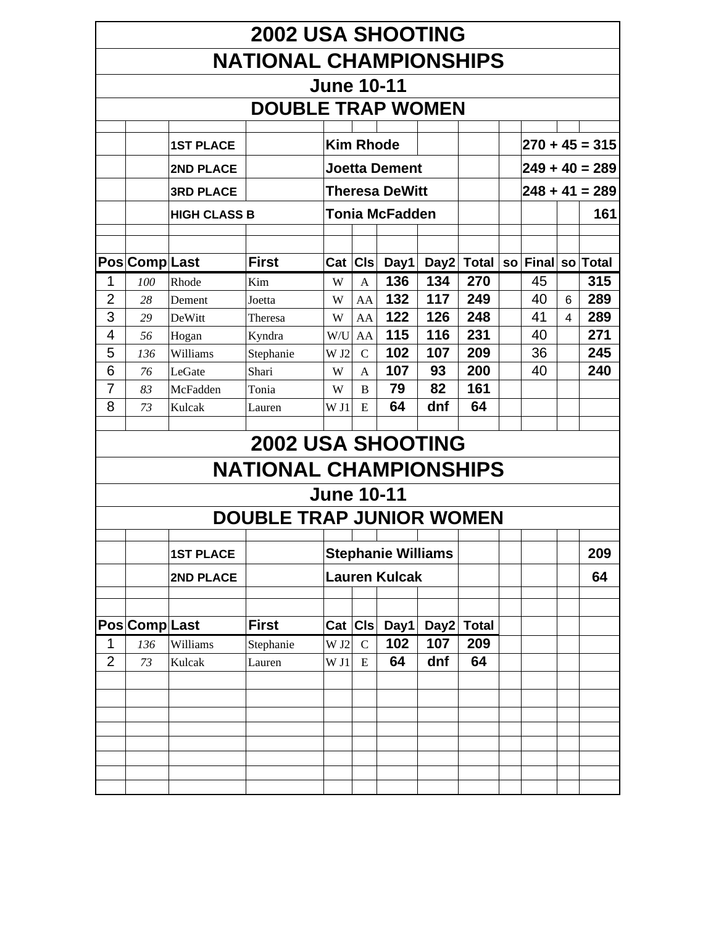|                | <b>2002 USA SHOOTING</b>                                                                                                                                                                       |                     |                                 |                   |              |                           |     |            |  |    |  |                  |  |  |  |
|----------------|------------------------------------------------------------------------------------------------------------------------------------------------------------------------------------------------|---------------------|---------------------------------|-------------------|--------------|---------------------------|-----|------------|--|----|--|------------------|--|--|--|
|                |                                                                                                                                                                                                |                     | <b>NATIONAL CHAMPIONSHIPS</b>   |                   |              |                           |     |            |  |    |  |                  |  |  |  |
|                |                                                                                                                                                                                                |                     |                                 | <b>June 10-11</b> |              |                           |     |            |  |    |  |                  |  |  |  |
|                |                                                                                                                                                                                                |                     |                                 |                   |              |                           |     |            |  |    |  |                  |  |  |  |
|                |                                                                                                                                                                                                |                     | <b>DOUBLE TRAP WOMEN</b>        |                   |              |                           |     |            |  |    |  |                  |  |  |  |
|                |                                                                                                                                                                                                | <b>1ST PLACE</b>    |                                 | <b>Kim Rhode</b>  |              |                           |     |            |  |    |  | $270 + 45 = 315$ |  |  |  |
|                |                                                                                                                                                                                                | <b>2ND PLACE</b>    |                                 |                   |              | <b>Joetta Dement</b>      |     |            |  |    |  | $249 + 40 = 289$ |  |  |  |
|                |                                                                                                                                                                                                | <b>3RD PLACE</b>    |                                 |                   |              | <b>Theresa DeWitt</b>     |     |            |  |    |  | $248 + 41 = 289$ |  |  |  |
|                |                                                                                                                                                                                                |                     |                                 |                   |              | <b>Tonia McFadden</b>     |     |            |  |    |  | 161              |  |  |  |
|                |                                                                                                                                                                                                | <b>HIGH CLASS B</b> |                                 |                   |              |                           |     |            |  |    |  |                  |  |  |  |
|                |                                                                                                                                                                                                |                     |                                 |                   |              |                           |     |            |  |    |  |                  |  |  |  |
|                | <b>First</b><br>Pos Comp Last<br>C <sub>ls</sub><br>Day1<br>Final so Total<br>Day2<br><b>Total</b><br>Cat<br><b>SO</b><br>136<br>134<br>315<br>270<br>1<br>45<br>Kim<br>100<br>Rhode<br>W<br>A |                     |                                 |                   |              |                           |     |            |  |    |  |                  |  |  |  |
|                |                                                                                                                                                                                                |                     |                                 |                   |              |                           |     |            |  |    |  |                  |  |  |  |
|                | 132<br>2<br>117<br>249<br>40<br>289<br>28<br>W<br>AA<br>6<br>Dement<br>Joetta<br>3<br>122<br>126<br>248<br>41<br>289<br>$\overline{\mathbf{4}}$<br>W<br>AA<br>29<br>DeWitt<br>Theresa          |                     |                                 |                   |              |                           |     |            |  |    |  |                  |  |  |  |
|                | 115<br>116<br>231<br>271<br>4<br>40<br>56<br>Kyndra<br>W/U<br>AA<br>Hogan                                                                                                                      |                     |                                 |                   |              |                           |     |            |  |    |  |                  |  |  |  |
|                | 102<br>209<br>245<br>107<br>36<br>$\mathcal{C}$<br>136<br>W <sub>J2</sub>                                                                                                                      |                     |                                 |                   |              |                           |     |            |  |    |  |                  |  |  |  |
|                | 5<br>Williams<br>Stephanie                                                                                                                                                                     |                     |                                 |                   |              |                           |     |            |  |    |  |                  |  |  |  |
| 6              | 76                                                                                                                                                                                             | LeGate              | Shari                           | W                 | $\mathsf{A}$ | 107                       | 93  | 200        |  | 40 |  | 240              |  |  |  |
| 7              | 83                                                                                                                                                                                             | McFadden            | Tonia                           | W                 | B            | 79                        | 82  | 161        |  |    |  |                  |  |  |  |
| 8              | 73                                                                                                                                                                                             | Kulcak              | Lauren                          | W <sub>11</sub>   | E            | 64                        | dnf | 64         |  |    |  |                  |  |  |  |
|                |                                                                                                                                                                                                |                     |                                 |                   |              |                           |     |            |  |    |  |                  |  |  |  |
|                |                                                                                                                                                                                                |                     | <b>2002 USA SHOOTING</b>        |                   |              |                           |     |            |  |    |  |                  |  |  |  |
|                |                                                                                                                                                                                                |                     | <b>NATIONAL CHAMPIONSHIPS</b>   |                   |              |                           |     |            |  |    |  |                  |  |  |  |
|                |                                                                                                                                                                                                |                     |                                 | <b>June 10-11</b> |              |                           |     |            |  |    |  |                  |  |  |  |
|                |                                                                                                                                                                                                |                     | <b>DOUBLE TRAP JUNIOR WOMEN</b> |                   |              |                           |     |            |  |    |  |                  |  |  |  |
|                |                                                                                                                                                                                                |                     |                                 |                   |              |                           |     |            |  |    |  |                  |  |  |  |
|                |                                                                                                                                                                                                | <b>1ST PLACE</b>    |                                 |                   |              | <b>Stephanie Williams</b> |     |            |  |    |  | 209              |  |  |  |
|                |                                                                                                                                                                                                | 2ND PLACE           |                                 |                   |              | <b>Lauren Kulcak</b>      |     |            |  |    |  | 64               |  |  |  |
|                |                                                                                                                                                                                                |                     |                                 |                   |              |                           |     |            |  |    |  |                  |  |  |  |
|                | Pos Comp Last                                                                                                                                                                                  |                     | <b>First</b>                    | Cat CIs           |              | Day1                      |     | Day2 Total |  |    |  |                  |  |  |  |
| 1              | 136                                                                                                                                                                                            | Williams            | Stephanie                       | W <sub>J2</sub>   | $\mathbf C$  | 102                       | 107 | 209        |  |    |  |                  |  |  |  |
| $\overline{2}$ | 73                                                                                                                                                                                             | Kulcak              | Lauren                          | W <sub>11</sub>   | E            | 64                        | dnf | 64         |  |    |  |                  |  |  |  |
|                |                                                                                                                                                                                                |                     |                                 |                   |              |                           |     |            |  |    |  |                  |  |  |  |
|                |                                                                                                                                                                                                |                     |                                 |                   |              |                           |     |            |  |    |  |                  |  |  |  |
|                |                                                                                                                                                                                                |                     |                                 |                   |              |                           |     |            |  |    |  |                  |  |  |  |
|                |                                                                                                                                                                                                |                     |                                 |                   |              |                           |     |            |  |    |  |                  |  |  |  |
|                |                                                                                                                                                                                                |                     |                                 |                   |              |                           |     |            |  |    |  |                  |  |  |  |
|                |                                                                                                                                                                                                |                     |                                 |                   |              |                           |     |            |  |    |  |                  |  |  |  |
|                |                                                                                                                                                                                                |                     |                                 |                   |              |                           |     |            |  |    |  |                  |  |  |  |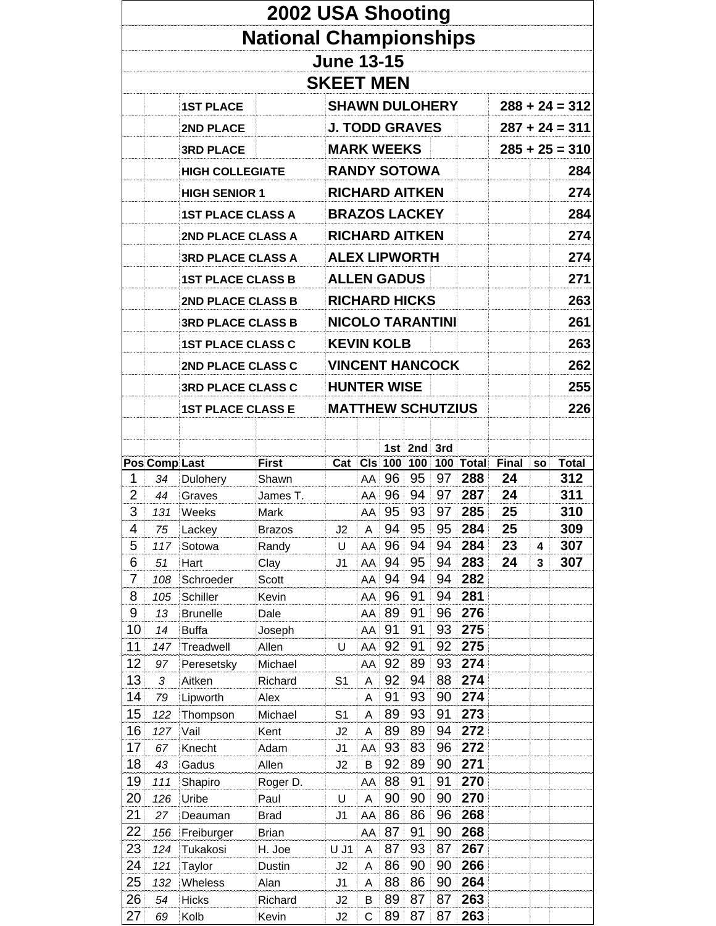|                     |               |                          | 2002 USA Shooting             |                          |                |          |          |          |            |       |           |                  |
|---------------------|---------------|--------------------------|-------------------------------|--------------------------|----------------|----------|----------|----------|------------|-------|-----------|------------------|
|                     |               |                          | <b>National Championships</b> |                          |                |          |          |          |            |       |           |                  |
|                     |               |                          |                               | <b>June 13-15</b>        |                |          |          |          |            |       |           |                  |
|                     |               |                          |                               | <b>SKEET MEN</b>         |                |          |          |          |            |       |           |                  |
|                     |               | <b>1ST PLACE</b>         |                               | <b>SHAWN DULOHERY</b>    |                |          |          |          |            |       |           | $288 + 24 = 312$ |
|                     |               |                          |                               |                          |                |          |          |          |            |       |           |                  |
|                     |               | 2ND PLACE                |                               | <b>J. TODD GRAVES</b>    |                |          |          |          |            |       |           | $287 + 24 = 311$ |
|                     |               | <b>3RD PLACE</b>         |                               | <b>MARK WEEKS</b>        |                |          |          |          |            |       |           | $285 + 25 = 310$ |
|                     |               | <b>HIGH COLLEGIATE</b>   |                               | <b>RANDY SOTOWA</b>      |                |          |          |          |            |       |           | 284              |
|                     |               | <b>HIGH SENIOR 1</b>     |                               | <b>RICHARD AITKEN</b>    |                |          |          |          |            |       |           | 274              |
|                     |               | <b>1ST PLACE CLASS A</b> |                               | <b>BRAZOS LACKEY</b>     |                |          |          |          |            |       |           | 284              |
|                     |               | 2ND PLACE CLASS A        |                               | <b>RICHARD AITKEN</b>    |                |          |          |          |            |       |           | 274              |
|                     |               | <b>3RD PLACE CLASS A</b> |                               | <b>ALEX LIPWORTH</b>     |                |          |          |          |            |       |           | 274              |
|                     |               |                          |                               | <b>ALLEN GADUS</b>       |                |          |          |          |            |       |           | 271              |
|                     |               | <b>1ST PLACE CLASS B</b> |                               |                          |                |          |          |          |            |       |           |                  |
|                     |               | <b>2ND PLACE CLASS B</b> |                               | <b>RICHARD HICKS</b>     |                |          |          |          |            |       |           | 263              |
|                     |               | <b>3RD PLACE CLASS B</b> |                               | <b>NICOLO TARANTINI</b>  |                |          |          |          |            |       |           | 261              |
|                     |               | <b>1ST PLACE CLASS C</b> |                               | <b>KEVIN KOLB</b>        |                |          |          |          |            |       |           | 263              |
|                     |               | 2ND PLACE CLASS C        |                               | <b>VINCENT HANCOCK</b>   |                |          |          |          |            |       |           | 262              |
|                     |               | <b>3RD PLACE CLASS C</b> |                               | <b>HUNTER WISE</b>       |                |          |          |          |            |       |           | 255              |
|                     |               | <b>1ST PLACE CLASS E</b> |                               | <b>MATTHEW SCHUTZIUS</b> |                |          |          |          |            |       |           | 226              |
|                     |               |                          |                               |                          |                |          |          |          |            |       |           |                  |
|                     |               |                          |                               |                          |                |          | 1st 2nd  | 3rd      |            |       |           |                  |
|                     | Pos Comp Last |                          | <b>First</b>                  | Cat                      | C <sub>l</sub> | 100      | 100      |          | 100 Total  | Final | <b>SO</b> | <b>Total</b>     |
| 1                   | 34            | Dulohery                 | Shawn                         |                          | AA             | 96       | 95       | 97       | 288        | 24    |           | 312              |
| 2                   | 44            | Graves                   | James T.                      |                          | AA             | 96       | 94       | 97       | 287        | 24    |           | 311              |
| 3                   | 131           | Weeks                    | Mark                          |                          | AA             | 95       | 93       | 97       | 285        | 25    |           | 310              |
| 4                   | 75            | Lackey                   | <b>Brazos</b>                 | J2                       | $\mathsf{A}$   | 94       | 95       | 95       | 284        | 25    |           | 309              |
| 5                   | 117           | Sotowa                   | Randy                         | U                        | AA             | 96       | 94       | 94       | 284        | 23    | 4         | 307              |
| 6<br>$\overline{7}$ | 51            | Hart<br>Schroeder        | Clay<br>Scott                 | J <sub>1</sub>           | AA<br>AA       | 94<br>94 | 95<br>94 | 94<br>94 | 283<br>282 | 24    | 3         | 307              |
| 8                   | 108<br>105    | Schiller                 | Kevin                         |                          | AA             | 96       | 91       | 94       | 281        |       |           |                  |
| 9                   | 13            | <b>Brunelle</b>          | Dale                          |                          | AA             | 89       | 91       | 96       | 276        |       |           |                  |
| 10                  | 14            | <b>Buffa</b>             | Joseph                        |                          | AA             | 91       | 91       | 93       | 275        |       |           |                  |
| 11                  | 147           | Treadwell                | Allen                         | U                        | AA             | 92       | 91       | 92       | 275        |       |           |                  |
| 12                  | 97            | Peresetsky               | Michael                       |                          | AA             | 92       | 89       | 93       | 274        |       |           |                  |
| 13                  | 3             | Aitken                   | Richard                       | S <sub>1</sub>           | Α              | 92       | 94       | 88       | 274        |       |           |                  |
| 14                  | 79            | Lipworth                 | Alex                          |                          | А              | 91       | 93       | 90       | 274        |       |           |                  |
| 15                  | 122           | Thompson                 | Michael                       | S <sub>1</sub>           | А              | 89       | 93       | 91       | 273        |       |           |                  |
| 16                  | 127           | Vail                     | Kent                          | J2                       | A              | 89       | 89       | 94       | 272        |       |           |                  |
| 17                  | 67            | Knecht                   | Adam                          | J <sub>1</sub>           | AA             | 93       | 83       | 96       | 272<br>271 |       |           |                  |
| 18<br>19            | 43<br>111     | Gadus<br>Shapiro         | Allen<br>Roger D.             | J2                       | B<br>AA        | 92<br>88 | 89<br>91 | 90<br>91 | 270        |       |           |                  |
| 20                  | 126           | Uribe                    | Paul                          | U                        | А              | 90       | 90       | 90       | 270        |       |           |                  |
| 21                  | 27            | Deauman                  | <b>Brad</b>                   | J1                       | AA             | 86       | 86       | 96       | 268        |       |           |                  |
| 22                  | 156           | Freiburger               | <b>Brian</b>                  |                          | AA             | 87       | 91       | 90       | 268        |       |           |                  |
| 23                  | 124           | Tukakosi                 | H. Joe                        | U J1                     | Α              | 87       | 93       | 87       | 267        |       |           |                  |
| 24                  | 121           | Taylor                   | Dustin                        | J2                       | А              | 86       | 90       | 90       | 266        |       |           |                  |
| 25                  | 132           | Wheless                  | Alan                          | J1                       | А              | 88       | 86       | 90       | 264        |       |           |                  |
| 26                  | 54            | <b>Hicks</b>             | Richard                       | J2                       | B              | 89       | 87       | 87       | 263        |       |           |                  |
| 27                  | 69            | Kolb                     | Kevin                         | J2                       | C              | 89       | 87       | 87       | 263        |       |           |                  |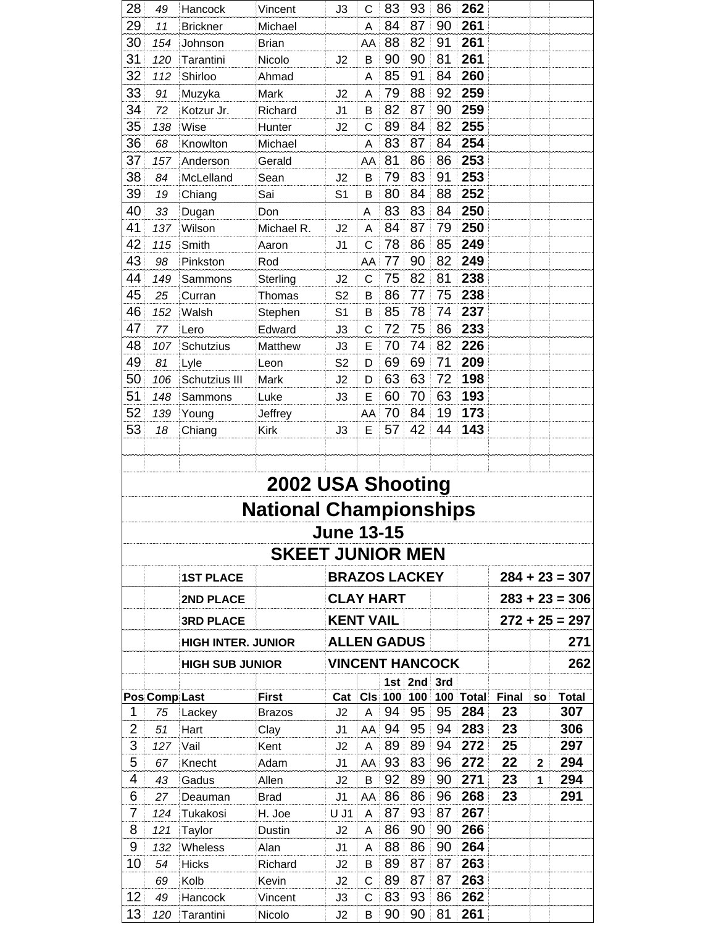| 28             | 49            | Hancock                   | Vincent                       | J3                               | С               | 83        | 93                 | 86 | 262              |              |              |                  |
|----------------|---------------|---------------------------|-------------------------------|----------------------------------|-----------------|-----------|--------------------|----|------------------|--------------|--------------|------------------|
| 29             | 11            | <b>Brickner</b>           | Michael                       |                                  | A               | 84        | 87                 | 90 | 261              |              |              |                  |
| 30             | 154           | Johnson                   | <b>Brian</b>                  |                                  | AA              | 88        | 82                 | 91 | 261              |              |              |                  |
| 31             | 120           | Tarantini                 | Nicolo                        | J2                               | B               | 90        | 90                 | 81 | 261              |              |              |                  |
| 32             | 112           | Shirloo                   | Ahmad                         |                                  | Α               | 85        | 91                 | 84 | 260              |              |              |                  |
| 33             | 91            | Muzyka                    | Mark                          | J <sub>2</sub>                   | Α               | 79        | 88                 | 92 | 259              |              |              |                  |
| 34             | 72            | Kotzur Jr.                | Richard                       | J <sub>1</sub>                   | B               | 82        | 87                 | 90 | 259              |              |              |                  |
| 35             | 138           | Wise                      | Hunter                        | J2                               | C               | 89        | 84                 | 82 | 255              |              |              |                  |
| 36             | 68            | Knowlton                  | Michael                       |                                  | Α               | 83        | 87                 | 84 | 254              |              |              |                  |
| 37             | 157           | Anderson                  | Gerald                        |                                  | AA              | 81        | 86                 | 86 | 253              |              |              |                  |
| 38             | 84            | McLelland                 | Sean                          | J <sub>2</sub>                   | B               | 79        | 83                 | 91 | 253              |              |              |                  |
| 39             | 19            | Chiang                    | Sai                           | S <sub>1</sub>                   | B               | 80        | 84                 | 88 | 252              |              |              |                  |
| 40             | 33            | Dugan                     | Don                           |                                  | Α               | 83        | 83                 | 84 | 250              |              |              |                  |
| 41             | 137           | Wilson                    | Michael R.                    | J2                               | A               | 84        | 87                 | 79 | 250              |              |              |                  |
| 42             | 115           | Smith                     | Aaron                         | J <sub>1</sub>                   | C               | 78        | 86                 | 85 | 249              |              |              |                  |
| 43             | 98            | Pinkston                  | Rod                           |                                  | AA              | 77        | 90                 | 82 | 249              |              |              |                  |
| 44             | 149           | Sammons                   | Sterling                      | J2                               | C               | 75        | 82                 | 81 | 238              |              |              |                  |
| 45             | 25            | Curran                    | Thomas                        | S <sub>2</sub>                   | B               | 86        | 77                 | 75 | 238              |              |              |                  |
| 46             | 152           | Walsh                     | Stephen                       | S <sub>1</sub>                   | B               | 85        | 78                 | 74 | 237              |              |              |                  |
| 47             | 77            | Lero                      | Edward                        | J3                               | C               | 72        | 75                 | 86 | 233              |              |              |                  |
| 48             | 107           | Schutzius                 | Matthew                       | J3                               | E               | 70        | 74                 | 82 | 226              |              |              |                  |
| 49             | 81            | Lyle                      | Leon                          | S <sub>2</sub>                   | D               | 69        | 69                 | 71 | 209              |              |              |                  |
| 50             | 106           | Schutzius III             | Mark                          | J2                               | D               | 63        | 63                 | 72 | 198              |              |              |                  |
| 51             | 148           | Sammons                   | Luke                          | J3                               | E               | 60        | 70                 | 63 | 193              |              |              |                  |
| 52             | 139           | Young                     | Jeffrey                       |                                  | AA              | 70        | 84                 | 19 | 173              |              |              |                  |
| 53             | 18            | Chiang                    | Kirk                          | J3                               | E               | 57        | 42                 | 44 | 143              |              |              |                  |
|                |               |                           |                               |                                  |                 |           |                    |    |                  |              |              |                  |
|                |               |                           |                               |                                  |                 |           |                    |    |                  |              |              |                  |
|                |               |                           | 2002 USA Shooting             |                                  |                 |           |                    |    |                  |              |              |                  |
|                |               |                           |                               |                                  |                 |           |                    |    |                  |              |              |                  |
|                |               |                           | <b>National Championships</b> |                                  |                 |           |                    |    |                  |              |              |                  |
|                |               |                           |                               | <b>June 13-15</b>                |                 |           |                    |    |                  |              |              |                  |
|                |               |                           | <b>SKEET JUNIOR MEN</b>       |                                  |                 |           |                    |    |                  |              |              |                  |
|                |               |                           |                               |                                  |                 |           |                    |    |                  |              |              |                  |
|                |               | <b>1ST PLACE</b>          |                               | <b>BRAZOS LACKEY</b>             |                 |           |                    |    |                  |              |              | $284 + 23 = 307$ |
|                |               | 2ND PLACE                 |                               | <b>CLAY HART</b>                 |                 |           |                    |    |                  |              |              | $283 + 23 = 306$ |
|                |               | <b>3RD PLACE</b>          |                               | <b>KENT VAIL</b>                 |                 |           |                    |    |                  |              |              | $272 + 25 = 297$ |
|                |               | <b>HIGH INTER. JUNIOR</b> |                               | <b>ALLEN GADUS</b>               |                 |           |                    |    |                  |              |              | 271              |
|                |               |                           |                               |                                  |                 |           |                    |    |                  |              |              |                  |
|                |               | <b>HIGH SUB JUNIOR</b>    |                               | <b>VINCENT HANCOCK</b>           |                 |           |                    |    |                  |              |              | 262              |
|                |               |                           |                               |                                  |                 |           | 1st 2nd 3rd<br>100 |    |                  | <b>Final</b> |              | <b>Total</b>     |
| 1              | Pos Comp Last |                           | <b>First</b>                  | Cat                              | C <sub>ls</sub> | 100<br>94 | 95                 | 95 | 100 Total<br>284 | 23           | SO           | 307              |
| $\overline{2}$ | 75<br>51      | Lackey                    | Brazos                        | J2                               | Α               | 94        | 95                 | 94 | 283              | 23           |              | 306              |
| 3              | 127           | Hart<br>Vail              | Clay<br>Kent                  | J <sub>1</sub><br>J <sub>2</sub> | AA<br>A         | 89        | 89                 | 94 | 272              | 25           |              | 297              |
| 5              | 67            | Knecht                    | Adam                          | J1                               | AA              | 93        | 83                 | 96 | 272              | 22           | $\mathbf{2}$ | 294              |
| 4              | 43            | Gadus                     | Allen                         | J2                               | B               | 92        | 89                 | 90 | 271              | 23           | 1            | 294              |
| 6              | 27            |                           | Brad                          | J1                               | AA              | 86        | 86                 | 96 | 268              | 23           |              | 291              |
| 7              | 124           | Deauman<br>Tukakosi       | H. Joe                        | $U$ J1                           | A               | 87        | 93                 | 87 | 267              |              |              |                  |
| 8              | 121           |                           |                               | J2                               | A               | 86        | 90                 | 90 | 266              |              |              |                  |
| 9              | 132           | Taylor<br>Wheless         | Dustin<br>Alan                | J1                               |                 | 88        | 86                 | 90 | 264              |              |              |                  |
| 10             |               | <b>Hicks</b>              | Richard                       |                                  | A<br>B          | 89        | 87                 | 87 | 263              |              |              |                  |
|                | 54            | Kolb                      |                               | J2                               |                 | 89        | 87                 | 87 | 263              |              |              |                  |
| 12             | 69<br>49      |                           | Kevin<br>Vincent              | J2                               | С               | 83        | 93                 | 86 | 262              |              |              |                  |
|                | 120           | Hancock<br>Tarantini      | Nicolo                        | J3<br>J2                         | С<br>B          | 90        | 90                 | 81 | 261              |              |              |                  |
| 13             |               |                           |                               |                                  |                 |           |                    |    |                  |              |              |                  |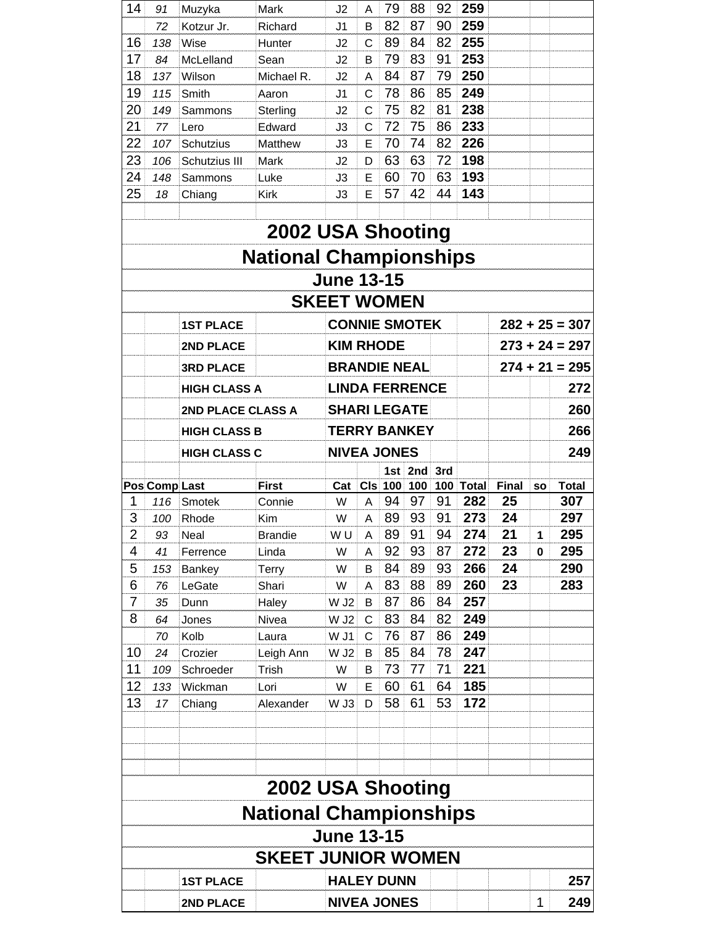| 14             | 91                   | Muzyka              | Mark                          | J2                    | A               | 79        | 88        | 92        | 259                 |             |           |                     |
|----------------|----------------------|---------------------|-------------------------------|-----------------------|-----------------|-----------|-----------|-----------|---------------------|-------------|-----------|---------------------|
|                | 72                   | Kotzur Jr.          | Richard                       | J1                    | в               | 82        | 87        | 90        | 259                 |             |           |                     |
| 16             | 138                  | Wise                | Hunter                        | J2                    | C               | 89        | 84        | 82        | 255                 |             |           |                     |
| 17             | 84                   | McLelland           | Sean                          | J2                    | в               | 79        | 83        | 91        | 253                 |             |           |                     |
| 18             | 137                  | Wilson              | Michael R.                    | J2                    | A               | 84        | 87        | 79        | 250                 |             |           |                     |
| 19             | 115                  | Smith               | Aaron                         | J1                    | C               | 78        | 86        | 85        | 249                 |             |           |                     |
| 20             | 149                  | Sammons             | Sterling                      | J2                    | C               | 75        | 82        | 81        | 238                 |             |           |                     |
| 21             | 77                   | Lero                | Edward                        | J3                    | C               | 72        | 75        | 86        | 233                 |             |           |                     |
| 22             | 107                  | Schutzius           | Matthew                       | JЗ                    | E               | 70        | 74        | 82        | 226                 |             |           |                     |
| 23             | 106                  | Schutzius III       | Mark                          | J2                    | D               | 63        | 63        | 72        | 198                 |             |           |                     |
| 24             | 148                  | Sammons             | Luke                          | JЗ                    | E               | 60        | 70        | 63        | 193                 |             |           |                     |
| 25             | 18                   | Chiang              | <b>Kirk</b>                   | JЗ                    | E               | 57        | 42        | 44        | 143                 |             |           |                     |
|                |                      |                     |                               |                       |                 |           |           |           |                     |             |           |                     |
|                |                      |                     | 2002 USA Shooting             |                       |                 |           |           |           |                     |             |           |                     |
|                |                      |                     | <b>National Championships</b> |                       |                 |           |           |           |                     |             |           |                     |
|                |                      |                     |                               | <b>June 13-15</b>     |                 |           |           |           |                     |             |           |                     |
|                |                      |                     |                               | <b>SKEET WOMEN</b>    |                 |           |           |           |                     |             |           |                     |
|                |                      | <b>1ST PLACE</b>    |                               | <b>CONNIE SMOTEK</b>  |                 |           |           |           |                     |             |           | $282 + 25 = 307$    |
|                |                      | 2ND PLACE           |                               | <b>KIM RHODE</b>      |                 |           |           |           |                     |             |           | $273 + 24 = 297$    |
|                |                      | <b>3RD PLACE</b>    |                               | <b>BRANDIE NEAL</b>   |                 |           |           |           |                     |             |           | $274 + 21 = 295$    |
|                |                      | <b>HIGH CLASS A</b> |                               | <b>LINDA FERRENCE</b> |                 |           |           |           |                     |             |           | 272                 |
|                |                      | 2ND PLACE CLASS A   |                               | <b>SHARI LEGATE</b>   |                 |           |           |           |                     |             |           | 260                 |
|                |                      | <b>HIGH CLASS B</b> |                               | <b>TERRY BANKEY</b>   |                 |           |           |           |                     |             |           | 266                 |
|                |                      | <b>HIGH CLASS C</b> |                               | <b>NIVEA JONES</b>    |                 |           |           |           |                     |             |           | 249                 |
|                |                      |                     |                               |                       |                 |           | 1st $2nd$ | 3rd       |                     |             |           |                     |
| 1              | <b>Pos Comp Last</b> |                     | <b>First</b>                  | Cat<br>W              | C <sub>ls</sub> | 100<br>94 | 100<br>97 | 100<br>91 | <b>Total</b><br>282 | Final<br>25 | <b>SO</b> | <b>Total</b><br>307 |
| 3              | 116                  | Smotek              | Connie                        |                       | А               | 89        | 93        | 91        | 273                 | 24          |           | 297                 |
| $\overline{2}$ | 100                  | Rhode<br>Neal       | Kim<br><b>Brandie</b>         | W<br>WU               | A               | 89        | 91        | 94        | 274                 | 21          | 1         | 295                 |
| 4              | 93                   |                     |                               | W                     | A               | 92        | 93        | 87        | 272                 | 23          |           | 295                 |
|                | 41                   | Ferrence            | Linda                         |                       | A               |           |           |           | 266                 | 24          | 0         |                     |
| 5<br>6         | 153                  | Bankey              | <b>Terry</b>                  | W                     | B               | 84        | 89        | 93        |                     | 23          |           | 290                 |
|                | 76                   | LeGate              | Shari                         | W                     | A               | 83        | 88        | 89        | 260                 |             |           | 283                 |
| 7              | 35                   | Dunn                | Haley                         | W J <sub>2</sub>      | В               | 87        | 86        | 84        | 257                 |             |           |                     |
| 8              | 64                   | Jones               | Nivea                         | $W$ J2                | C               | 83        | 84        | 82        | 249<br>249          |             |           |                     |
|                | 70                   | Kolb                | Laura                         | W J1                  | C               | 76        | 87        | 86        |                     |             |           |                     |
| 10             | 24                   | Crozier             | Leigh Ann                     | W J2                  | B               | 85        | 84        | 78        | 247                 |             |           |                     |
| 11             | 109                  | Schroeder           | Trish                         | W                     | B               | 73        | 77        | 71        | 221                 |             |           |                     |
| 12             | 133                  | Wickman             | Lori                          | W                     | Ε               | 60        | 61        | 64        | 185                 |             |           |                     |
| 13             | 17                   | Chiang              | Alexander                     | W J3                  | D               | 58        | 61        | 53        | 172                 |             |           |                     |
|                |                      |                     |                               |                       |                 |           |           |           |                     |             |           |                     |
|                |                      |                     | 2002 USA Shooting             |                       |                 |           |           |           |                     |             |           |                     |
|                |                      |                     | <b>National Championships</b> |                       |                 |           |           |           |                     |             |           |                     |
|                |                      |                     |                               | <b>June 13-15</b>     |                 |           |           |           |                     |             |           |                     |
|                |                      |                     | <b>SKEET JUNIOR WOMEN</b>     |                       |                 |           |           |           |                     |             |           |                     |
|                |                      | <b>1ST PLACE</b>    |                               | <b>HALEY DUNN</b>     |                 |           |           |           |                     |             |           | 257                 |
|                |                      | 2ND PLACE           |                               | <b>NIVEA JONES</b>    |                 |           |           |           |                     |             | 1         | 249                 |